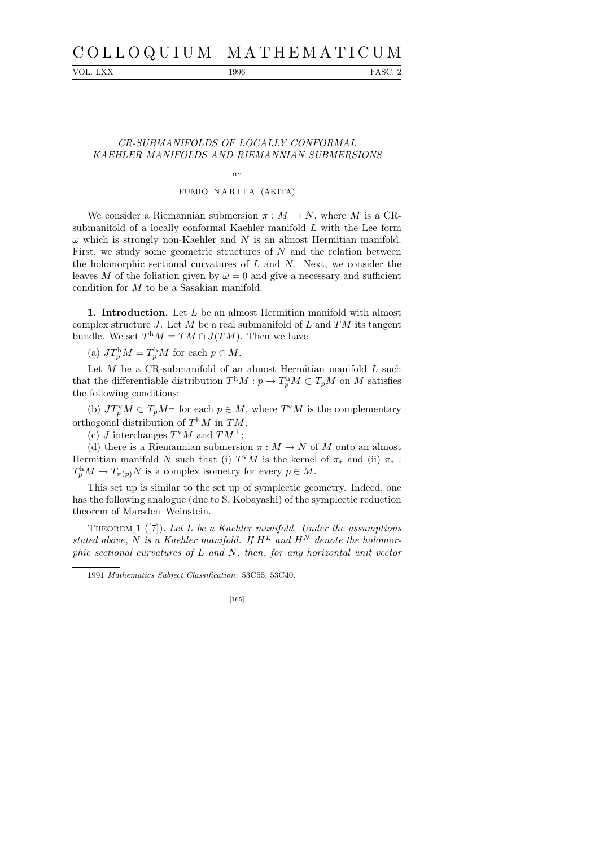# C O L L O Q U I U M M A T H E M A T I C U M

VOL. LXX 1996 FASC. 2

# CR-SUBMANIFOLDS OF LOCALLY CONFORMAL KAEHLER MANIFOLDS AND RIEMANNIAN SUBMERSIONS

### BY

## FUMIO NARITA (AKITA)

We consider a Riemannian submersion  $\pi : M \to N$ , where M is a CRsubmanifold of a locally conformal Kaehler manifold L with the Lee form  $\omega$  which is strongly non-Kaehler and N is an almost Hermitian manifold. First, we study some geometric structures of  $N$  and the relation between the holomorphic sectional curvatures of  $L$  and  $N$ . Next, we consider the leaves M of the foliation given by  $\omega = 0$  and give a necessary and sufficient condition for M to be a Sasakian manifold.

1. Introduction. Let L be an almost Hermitian manifold with almost complex structure J. Let M be a real submanifold of L and  $TM$  its tangent bundle. We set  $T^{\text{h}}M = TM \cap J(TM)$ . Then we have

(a)  $JT_p^{\rm h}M=T_p^{\rm h}M$  for each  $p \in M$ .

Let  $M$  be a CR-submanifold of an almost Hermitian manifold  $L$  such that the differentiable distribution  $T^{\text{h}}M : p \to T^{\text{h}}_pM \subset T_pM$  on M satisfies the following conditions:

(b)  $JT_p^{\vee}M \subset T_pM^{\perp}$  for each  $p \in M$ , where  $T^{\vee}M$  is the complementary orthogonal distribution of  $T<sup>h</sup>M$  in  $TM$ ;

(c) *J* interchanges  $T^vM$  and  $TM^{\perp}$ ;

(d) there is a Riemannian submersion  $\pi : M \to N$  of M onto an almost Hermitian manifold N such that (i)  $T^vM$  is the kernel of  $\pi_*$  and (ii)  $\pi_*$ :  $T_p^{\text{h}} M \to T_{\pi(p)} N$  is a complex isometry for every  $p \in M$ .

This set up is similar to the set up of symplectic geometry. Indeed, one has the following analogue (due to S. Kobayashi) of the symplectic reduction theorem of Marsden–Weinstein.

THEOREM 1 ([7]). Let L be a Kaehler manifold. Under the assumptions stated above, N is a Kaehler manifold. If  $H^L$  and  $H^N$  denote the holomorphic sectional curvatures of  $L$  and  $N$ , then, for any horizontal unit vector

#### [165]

<sup>1991</sup> *Mathematics Subject Classification*: 53C55, 53C40.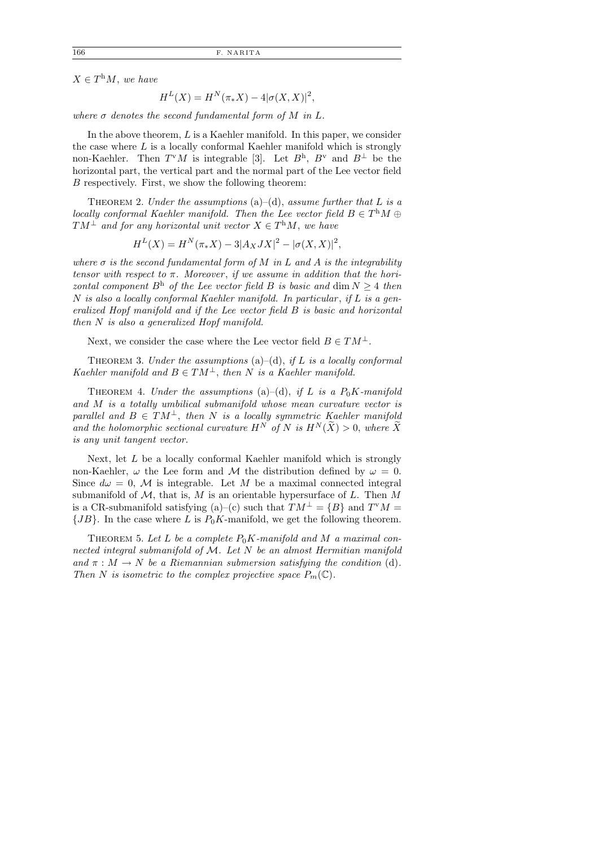$X \in T^{\text{h}}M$ , we have

$$
H^{L}(X) = H^{N}(\pi_{*}X) - 4|\sigma(X, X)|^{2},
$$

where  $\sigma$  denotes the second fundamental form of M in L.

In the above theorem,  $L$  is a Kaehler manifold. In this paper, we consider the case where  $L$  is a locally conformal Kaehler manifold which is strongly non-Kaehler. Then  $T^{v}M$  is integrable [3]. Let  $B^{h}$ ,  $B^{v}$  and  $B^{\perp}$  be the horizontal part, the vertical part and the normal part of the Lee vector field B respectively. First, we show the following theorem:

THEOREM 2. Under the assumptions (a)–(d), assume further that L is a locally conformal Kaehler manifold. Then the Lee vector field  $B \in T^hM \oplus T^hM$  $TM^{\perp}$  and for any horizontal unit vector  $X \in T^{\text{h}}M$ , we have

$$
H^{L}(X) = H^{N}(\pi_{*}X) - 3|A_{X}JX|^{2} - |\sigma(X,X)|^{2},
$$

where  $\sigma$  is the second fundamental form of M in L and A is the integrability tensor with respect to  $\pi$ . Moreover, if we assume in addition that the horizontal component  $B^h$  of the Lee vector field B is basic and dim  $N \geq 4$  then  $N$  is also a locally conformal Kaehler manifold. In particular, if  $L$  is a generalized Hopf manifold and if the Lee vector field B is basic and horizontal then N is also a generalized Hopf manifold.

Next, we consider the case where the Lee vector field  $B \in TM^{\perp}$ .

THEOREM 3. Under the assumptions  $(a)$ – $(d)$ , if L is a locally conformal Kaehler manifold and  $B \in TM^{\perp}$ , then N is a Kaehler manifold.

THEOREM 4. Under the assumptions (a)–(d), if L is a  $P_0K$ -manifold and M is a totally umbilical submanifold whose mean curvature vector is parallel and  $B \in TM^{\perp}$ , then N is a locally symmetric Kaehler manifold and the holomorphic sectional curvature  $H^N$  of N is  $H^N(\widetilde{X}) > 0$ , where  $\widetilde{X}$ is any unit tangent vector.

Next, let L be a locally conformal Kaehler manifold which is strongly non-Kaehler,  $\omega$  the Lee form and M the distribution defined by  $\omega = 0$ . Since  $d\omega = 0$ , M is integrable. Let M be a maximal connected integral submanifold of  $M$ , that is,  $M$  is an orientable hypersurface of  $L$ . Then  $M$ is a CR-submanifold satisfying (a)–(c) such that  $TM^{\perp} = \{B\}$  and  $T^{v}M =$  ${JB}$ . In the case where L is  $P_0K$ -manifold, we get the following theorem.

THEOREM 5. Let L be a complete  $P_0K$ -manifold and M a maximal connected integral submanifold of  $M$ . Let  $N$  be an almost Hermitian manifold and  $\pi : M \to N$  be a Riemannian submersion satisfying the condition (d). Then N is isometric to the complex projective space  $P_m(\mathbb{C})$ .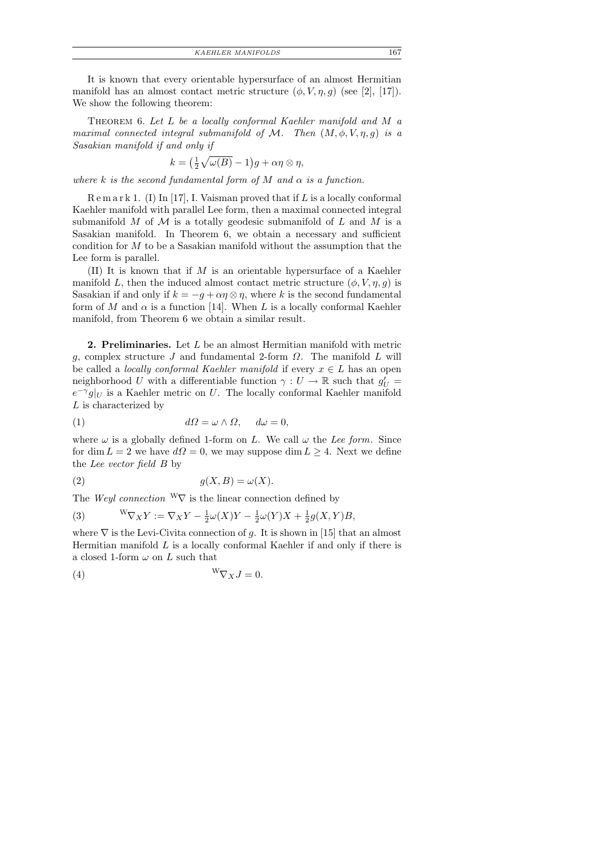*KAEHLER MANIFOLDS* 167

It is known that every orientable hypersurface of an almost Hermitian manifold has an almost contact metric structure  $(\phi, V, \eta, g)$  (see [2], [17]). We show the following theorem:

THEOREM 6. Let L be a locally conformal Kaehler manifold and M a maximal connected integral submanifold of M. Then  $(M, \phi, V, \eta, q)$  is a Sasakian manifold if and only if

$$
k = \left(\frac{1}{2}\sqrt{\omega(B)} - 1\right)g + \alpha\eta \otimes \eta,
$$

where k is the second fundamental form of M and  $\alpha$  is a function.

 $R \text{ e m a r k 1. (I) In [17], I. Vaisman proved that if L is a locally conformal.}$ Kaehler manifold with parallel Lee form, then a maximal connected integral submanifold M of M is a totally geodesic submanifold of L and M is a Sasakian manifold. In Theorem 6, we obtain a necessary and sufficient condition for  $M$  to be a Sasakian manifold without the assumption that the Lee form is parallel.

(II) It is known that if  $M$  is an orientable hypersurface of a Kaehler manifold L, then the induced almost contact metric structure  $(\phi, V, \eta, g)$  is Sasakian if and only if  $k = -g + \alpha \eta \otimes \eta$ , where k is the second fundamental form of M and  $\alpha$  is a function [14]. When L is a locally conformal Kaehler manifold, from Theorem 6 we obtain a similar result.

2. Preliminaries. Let L be an almost Hermitian manifold with metric g, complex structure J and fundamental 2-form  $\Omega$ . The manifold L will be called a *locally conformal Kaehler manifold* if every  $x \in L$  has an open neighborhood U with a differentiable function  $\gamma: U \to \mathbb{R}$  such that  $g'_U =$  $e^{-\gamma}g|_U$  is a Kaehler metric on U. The locally conformal Kaehler manifold L is characterized by

$$
(1) \t\t d\Omega = \omega \wedge \Omega, \t d\omega = 0,
$$

where  $\omega$  is a globally defined 1-form on L. We call  $\omega$  the Lee form. Since for dim  $L = 2$  we have  $d\Omega = 0$ , we may suppose dim  $L \geq 4$ . Next we define the Lee vector field B by

$$
(2) \t\t g(X, B) = \omega(X).
$$

The Weyl connection  $W\nabla$  is the linear connection defined by

(3) 
$$
{}^W\nabla_X Y := \nabla_X Y - \frac{1}{2}\omega(X)Y - \frac{1}{2}\omega(Y)X + \frac{1}{2}g(X,Y)B,
$$

where  $\nabla$  is the Levi-Civita connection of g. It is shown in [15] that an almost Hermitian manifold  $L$  is a locally conformal Kaehler if and only if there is a closed 1-form  $\omega$  on L such that

$$
(4) \t\t W\nabla_X J = 0.
$$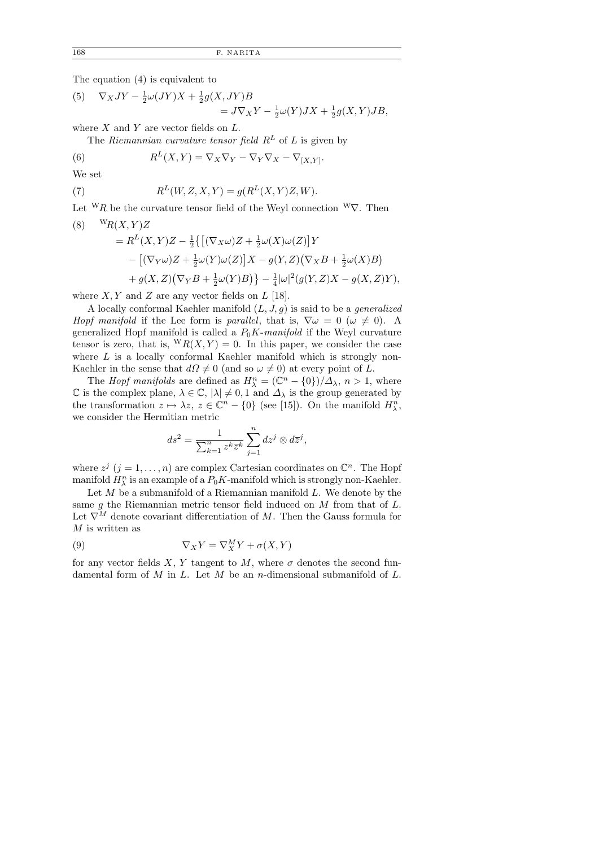The equation (4) is equivalent to

(5) 
$$
\nabla_X JY - \frac{1}{2}\omega(JY)X + \frac{1}{2}g(X,JY)B
$$

$$
= J\nabla_X Y - \frac{1}{2}\omega(Y)JX + \frac{1}{2}g(X,Y)JB,
$$

where  $X$  and  $Y$  are vector fields on  $L$ .

The Riemannian curvature tensor field  $R^L$  of L is given by

(6) 
$$
R^{L}(X,Y) = \nabla_{X}\nabla_{Y} - \nabla_{Y}\nabla_{X} - \nabla_{[X,Y]}.
$$

We set

 $(7)$ 

$$
R^L(W, Z, X, Y) = g(R^L(X, Y)Z, W).
$$

Let  ${}^{\mathbf{W}}R$  be the curvature tensor field of the Weyl connection  ${}^{\mathbf{W}}\nabla$ . Then  $(X, Y)Z$ 

$$
= RL(X,Y)Z - \frac{1}{2}\{ [(\nabla_X \omega)Z + \frac{1}{2}\omega(X)\omega(Z)]Y
$$
  
 
$$
- [( \nabla_Y \omega)Z + \frac{1}{2}\omega(Y)\omega(Z)]X - g(Y,Z)(\nabla_X B + \frac{1}{2}\omega(X)B)
$$
  
 
$$
+ g(X,Z)(\nabla_Y B + \frac{1}{2}\omega(Y)B) \} - \frac{1}{4}|\omega|^2(g(Y,Z)X - g(X,Z)Y),
$$

where  $X, Y$  and  $Z$  are any vector fields on  $L$  [18].

A locally conformal Kaehler manifold  $(L, J, g)$  is said to be a *generalized* Hopf manifold if the Lee form is parallel, that is,  $\nabla \omega = 0$  ( $\omega \neq 0$ ). A generalized Hopf manifold is called a  $P_0K$ -manifold if the Weyl curvature tensor is zero, that is,  ${}^{\text{W}}R(X,Y) = 0$ . In this paper, we consider the case where  $L$  is a locally conformal Kaehler manifold which is strongly non-Kaehler in the sense that  $d\Omega \neq 0$  (and so  $\omega \neq 0$ ) at every point of L.

The *Hopf manifolds* are defined as  $H_{\lambda}^{n} = (\mathbb{C}^{n} - \{0\})/\Delta_{\lambda}, n > 1$ , where  $\mathbb C$  is the complex plane,  $\lambda \in \mathbb C, |\lambda| \neq 0, 1$  and  $\Delta_{\lambda}$  is the group generated by the transformation  $z \mapsto \lambda z$ ,  $z \in \mathbb{C}^n - \{0\}$  (see [15]). On the manifold  $H_{\lambda}^n$ , we consider the Hermitian metric

$$
ds^{2} = \frac{1}{\sum_{k=1}^{n} z^{k} \overline{z}^{k}} \sum_{j=1}^{n} dz^{j} \otimes d\overline{z}^{j},
$$

where  $z^j$   $(j = 1, ..., n)$  are complex Cartesian coordinates on  $\mathbb{C}^n$ . The Hopf manifold  $H_{\lambda}^{n}$  is an example of a  $P_{0}K$ -manifold which is strongly non-Kaehler.

Let  $M$  be a submanifold of a Riemannian manifold  $L$ . We denote by the same  $g$  the Riemannian metric tensor field induced on  $M$  from that of  $L$ . Let  $\nabla^M$  denote covariant differentiation of M. Then the Gauss formula for  $M$  is written as

(9) 
$$
\nabla_X Y = \nabla_X^M Y + \sigma(X, Y)
$$

for any vector fields X, Y tangent to M, where  $\sigma$  denotes the second fundamental form of  $M$  in  $L$ . Let  $M$  be an n-dimensional submanifold of  $L$ .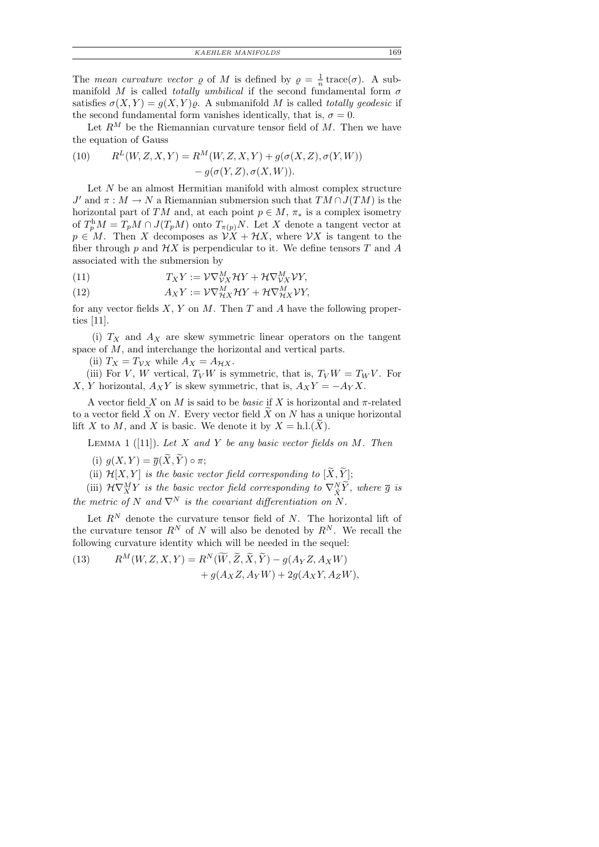The mean curvature vector  $\rho$  of M is defined by  $\rho = \frac{1}{n}$  $\frac{1}{n}$  trace( $\sigma$ ). A submanifold M is called *totally umbilical* if the second fundamental form  $\sigma$ satisfies  $\sigma(X, Y) = g(X, Y)\varrho$ . A submanifold M is called totally geodesic if the second fundamental form vanishes identically, that is,  $\sigma = 0$ .

Let  $R^M$  be the Riemannian curvature tensor field of M. Then we have the equation of Gauss

(10) 
$$
R^{L}(W, Z, X, Y) = R^{M}(W, Z, X, Y) + g(\sigma(X, Z), \sigma(Y, W)) - g(\sigma(Y, Z), \sigma(X, W)).
$$

Let  $N$  be an almost Hermitian manifold with almost complex structure  $J'$  and  $\pi : M \to N$  a Riemannian submersion such that  $TM \cap J(TM)$  is the horizontal part of TM and, at each point  $p \in M$ ,  $\pi_*$  is a complex isometry of  $T_p^{\text{h}}M = T_pM \cap J(T_pM)$  onto  $T_{\pi(p)}N$ . Let X denote a tangent vector at  $p \in M$ . Then X decomposes as  $\mathcal{V}X + \mathcal{H}X$ , where  $\mathcal{V}X$  is tangent to the fiber through p and  $\mathcal{H}X$  is perpendicular to it. We define tensors T and A associated with the submersion by

(11) 
$$
T_X Y := \mathcal{V} \nabla_{\mathcal{V} X}^M \mathcal{H} Y + \mathcal{H} \nabla_{\mathcal{V} X}^M \mathcal{V} Y,
$$

(12) 
$$
A_X Y := \mathcal{V} \nabla^M_{\mathcal{H} X} \mathcal{H} Y + \mathcal{H} \nabla^M_{\mathcal{H} X} \mathcal{V} Y,
$$

for any vector fields  $X, Y$  on  $M$ . Then  $T$  and  $A$  have the following properties [11].

(i)  $T_X$  and  $A_X$  are skew symmetric linear operators on the tangent space of M, and interchange the horizontal and vertical parts.

(ii)  $T_X = T_{\mathcal{V}X}$  while  $A_X = A_{\mathcal{H}X}$ .

(iii) For V, W vertical,  $T_V W$  is symmetric, that is,  $T_V W = T_W V$ . For X, Y horizontal,  $A_X Y$  is skew symmetric, that is,  $A_X Y = -A_Y X$ .

A vector field X on M is said to be *basic* if X is horizontal and  $\pi$ -related to a vector field  $\overline{X}$  on N. Every vector field  $\overline{X}$  on N has a unique horizontal lift X to M, and X is basic. We denote it by  $X = h.l.(X)$ .

LEMMA 1 ([11]). Let X and Y be any basic vector fields on M. Then

(i)  $g(X, Y) = \overline{g}(\widetilde{X}, \widetilde{Y}) \circ \pi;$ 

(ii)  $\mathcal{H}[X, Y]$  is the basic vector field corresponding to  $[\widetilde{X}, \widetilde{Y}];$ 

(iii)  $\mathcal{H}\nabla^M_XY$  is the basic vector field corresponding to  $\nabla^N_{\tilde{X}}\tilde{Y}$ , where  $\overline{g}$  is the metric of N and  $\nabla^N$  is the covariant differentiation on N.

Let  $R^N$  denote the curvature tensor field of N. The horizontal lift of the curvature tensor  $R^N$  of N will also be denoted by  $R^N$ . We recall the following curvature identity which will be needed in the sequel:

(13) 
$$
R^{M}(W, Z, X, Y) = R^{N}(\widetilde{W}, \widetilde{Z}, \widetilde{X}, \widetilde{Y}) - g(A_{Y}Z, A_{X}W) + g(A_{X}Z, A_{Y}W) + 2g(A_{X}Y, A_{Z}W),
$$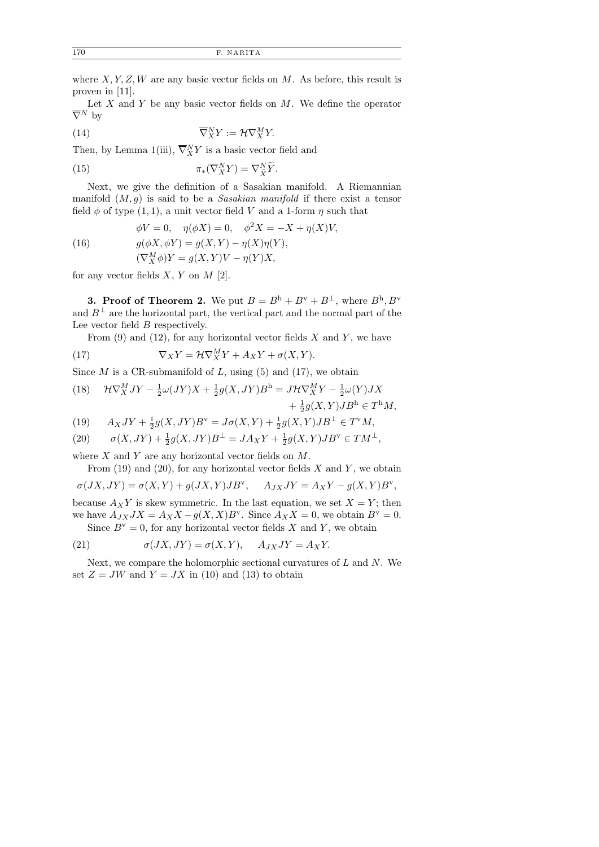where  $X, Y, Z, W$  are any basic vector fields on  $M$ . As before, this result is proven in [11].

Let  $X$  and  $Y$  be any basic vector fields on  $M$ . We define the operator  $\overline{\nabla}^N$  by

(14) 
$$
\overline{\nabla}_X^N Y := \mathcal{H} \nabla_X^M Y.
$$

Then, by Lemma 1(iii),  $\overline{\nabla}_X^N Y$  is a basic vector field and

(15) 
$$
\pi_*(\overline{\nabla}^N_X Y) = \nabla^N_{\tilde{X}} \tilde{Y}.
$$

Next, we give the definition of a Sasakian manifold. A Riemannian manifold  $(M, g)$  is said to be a Sasakian manifold if there exist a tensor field  $\phi$  of type  $(1, 1)$ , a unit vector field V and a 1-form  $\eta$  such that

 $\phi V = 0$ ,  $\eta(\phi X) = 0$ ,  $\phi^2 X = -X + \eta(X) V$ ,

(16) 
$$
g(\phi X, \phi Y) = g(X, Y) - \eta(X)\eta(Y),
$$

$$
(\nabla_X^M \phi)Y = g(X, Y)V - \eta(Y)X,
$$

for any vector fields  $X, Y$  on  $M$  [2].

**3. Proof of Theorem 2.** We put  $B = B^h + B^v + B^{\perp}$ , where  $B^h, B^v$ and  $B^{\perp}$  are the horizontal part, the vertical part and the normal part of the Lee vector field B respectively.

From  $(9)$  and  $(12)$ , for any horizontal vector fields X and Y, we have

(17) 
$$
\nabla_X Y = \mathcal{H} \nabla_X^M Y + A_X Y + \sigma(X, Y).
$$

Since  $M$  is a CR-submanifold of  $L$ , using (5) and (17), we obtain

(18) 
$$
\mathcal{H}\nabla_X^M JY - \frac{1}{2}\omega(JY)X + \frac{1}{2}g(X,JY)B^{\mathrm{h}} = J\mathcal{H}\nabla_X^M Y - \frac{1}{2}\omega(Y)JX + \frac{1}{2}g(X,Y)JB^{\mathrm{h}} \in T^{\mathrm{h}}M,
$$

(19) 
$$
A_X JY + \frac{1}{2}g(X, JY)B^{\nu} = J\sigma(X, Y) + \frac{1}{2}g(X, Y)JB^{\perp} \in T^{\nu}M
$$
,

(20)  $\sigma(X, JY) + \frac{1}{2}g(X, JY)B^{\perp} = JA_XY + \frac{1}{2}$  $\frac{1}{2}g(X,Y)JB^{\mathrm{v}} \in TM^{\perp},$ 

where  $X$  and  $Y$  are any horizontal vector fields on  $M$ .

From  $(19)$  and  $(20)$ , for any horizontal vector fields X and Y, we obtain

$$
\sigma(JX,JY) = \sigma(X,Y) + g(JX,Y)JB^{\mathbf{v}}, \quad A_{JX}JY = A_XY - g(X,Y)B^{\mathbf{v}},
$$

because  $A_X Y$  is skew symmetric. In the last equation, we set  $X = Y$ ; then we have  $A_{JX}JX = A_XX - g(X,X)B^{\nu}$ . Since  $A_XX = 0$ , we obtain  $B^{\nu} = 0$ . Since  $B^{\rm v}=0$ , for any horizontal vector fields X and Y, we obtain

(21) 
$$
\sigma(JX, JY) = \sigma(X, Y), \quad A_{JX}JY = A_XY.
$$

Next, we compare the holomorphic sectional curvatures of  $L$  and  $N$ . We set  $Z = JW$  and  $Y = JX$  in (10) and (13) to obtain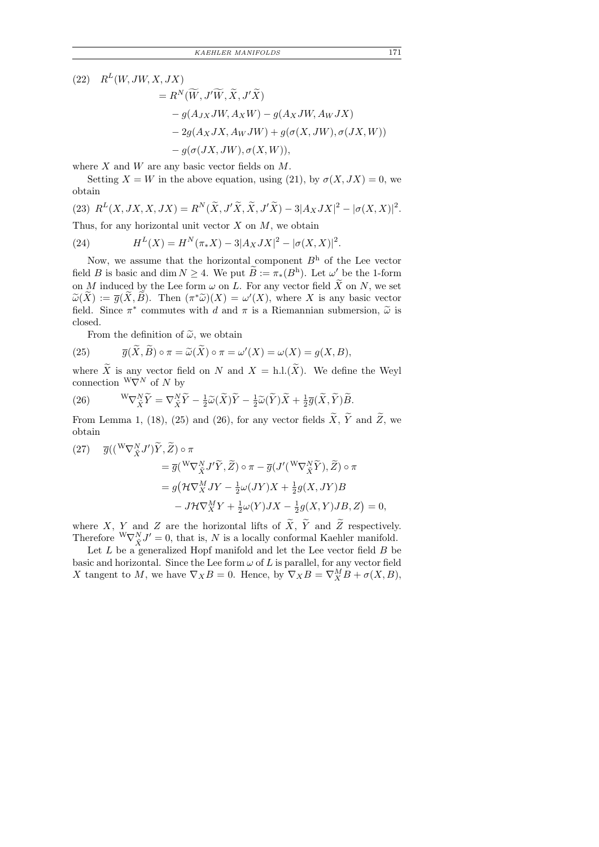$(22)$   $R^{L}(W, JW, X, JX)$ 

$$
= R^N(\widetilde{W}, J'\widetilde{W}, \widetilde{X}, J'\widetilde{X})
$$
  
\n
$$
- g(A_{JX}JW, A_XW) - g(A_XJW, A_WJX)
$$
  
\n
$$
- 2g(A_XJX, A_WJW) + g(\sigma(X, JW), \sigma(JX, W))
$$
  
\n
$$
- g(\sigma(JX, JW), \sigma(X, W)),
$$

where  $X$  and  $W$  are any basic vector fields on  $M$ .

Setting  $X = W$  in the above equation, using (21), by  $\sigma(X, JX) = 0$ , we obtain

(23)  $R^{L}(X, JX, X, JX) = R^{N}(\tilde{X}, J'\tilde{X}, \tilde{X}, J'\tilde{X}) - 3|A_{X}JX|^{2} - |\sigma(X, X)|^{2}$ .

Thus, for any horizontal unit vector  $X$  on  $M$ , we obtain

(24) 
$$
H^{L}(X) = H^{N}(\pi_{*}X) - 3|A_{X}JX|^{2} - |\sigma(X,X)|^{2}.
$$

Now, we assume that the horizontal component  $B<sup>h</sup>$  of the Lee vector field B is basic and dim  $N \geq 4$ . We put  $B := \pi_*(B^h)$ . Let  $\omega'$  be the 1-form on M induced by the Lee form  $\omega$  on L. For any vector field  $\widetilde{X}$  on N, we set  $\widetilde{\omega}(\widetilde{X}) := \overline{g}(\widetilde{X}, \widetilde{B})$ . Then  $(\pi^*\widetilde{\omega})(X) = \omega'(X)$ , where X is any basic vector field. Since  $\pi^*$  commutes with d and  $\pi$  is a Riemannian submersion,  $\tilde{\omega}$  is closed closed.

From the definition of  $\tilde{\omega}$ , we obtain

(25) 
$$
\overline{g}(\widetilde{X}, \widetilde{B}) \circ \pi = \widetilde{\omega}(\widetilde{X}) \circ \pi = \omega'(X) = \omega(X) = g(X, B),
$$

where X is any vector field on N and  $X = h.l.(X)$ . We define the Weyl connection  $W\check{\nabla}^N$  of N by

(26) 
$$
W\nabla_{\tilde{X}}^N \tilde{Y} = \nabla_{\tilde{X}}^N \tilde{Y} - \frac{1}{2}\tilde{\omega}(\tilde{X})\tilde{Y} - \frac{1}{2}\tilde{\omega}(\tilde{Y})\tilde{X} + \frac{1}{2}\overline{g}(\tilde{X}, \tilde{Y})\tilde{B}.
$$

From Lemma 1, (18), (25) and (26), for any vector fields  $X, Y$  and  $Z$ , we obtain

(27) 
$$
\overline{g}(({}^{W}\nabla_{\tilde{X}}^{N}J')\tilde{Y},\tilde{Z}) \circ \pi
$$
  
\n
$$
= \overline{g}({}^{W}\nabla_{\tilde{X}}^{N}J'\tilde{Y},\tilde{Z}) \circ \pi - \overline{g}(J'({}^{W}\nabla_{\tilde{X}}^{N}\tilde{Y}),\tilde{Z}) \circ \pi
$$
  
\n
$$
= g(\mathcal{H}\nabla_{X}^{M}JY - \frac{1}{2}\omega(JY)X + \frac{1}{2}g(X,JY)B
$$
  
\n
$$
-J\mathcal{H}\nabla_{X}^{M}Y + \frac{1}{2}\omega(Y)JX - \frac{1}{2}g(X,Y)JB, Z) = 0,
$$

where X, Y and Z are the horizontal lifts of  $\widetilde{X}$ ,  $\widetilde{Y}$  and  $\widetilde{Z}$  respectively. Therefore  ${}^{\text{W}}\nabla_{\tilde{X}}^N J' = 0$ , that is, N is a locally conformal Kaehler manifold.

Let  $L$  be a generalized Hopf manifold and let the Lee vector field  $B$  be basic and horizontal. Since the Lee form  $\omega$  of L is parallel, for any vector field X tangent to M, we have  $\nabla_X B = 0$ . Hence, by  $\nabla_X B = \nabla_X^M B + \sigma(X, B)$ ,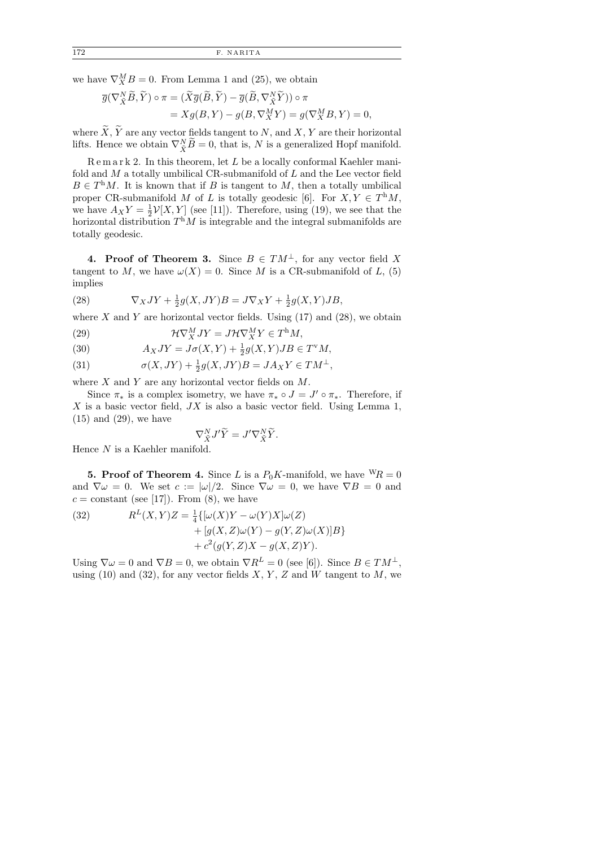we have  $\nabla_X^M B = 0$ . From Lemma 1 and (25), we obtain

$$
\overline{g}(\nabla_{\tilde{X}}^N \widetilde{B}, \widetilde{Y}) \circ \pi = (\widetilde{X}\overline{g}(\widetilde{B}, \widetilde{Y}) - \overline{g}(\widetilde{B}, \nabla_{\tilde{X}}^N \widetilde{Y})) \circ \pi \n= Xg(B, Y) - g(B, \nabla_X^M Y) = g(\nabla_X^M B, Y) = 0,
$$

where  $\widetilde{X}, \widetilde{Y}$  are any vector fields tangent to N, and X, Y are their horizontal lifts. Hence we obtain  $\nabla_{\tilde{X}}^N \tilde{B} = 0$ , that is, N is a generalized Hopf manifold.

 $R$ e m a r k 2. In this theorem, let  $L$  be a locally conformal Kaehler manifold and  $M$  a totally umbilical CR-submanifold of  $L$  and the Lee vector field  $B \in T^{\text{h}}M$ . It is known that if B is tangent to M, then a totally umbilical proper CR-submanifold M of L is totally geodesic [6]. For  $X, Y \in T^{\text{h}}M$ , we have  $A_X Y = \frac{1}{2}$  $\frac{1}{2}V[X,Y]$  (see [11]). Therefore, using (19), we see that the horizontal distribution  $T<sup>h</sup>M$  is integrable and the integral submanifolds are totally geodesic.

4. Proof of Theorem 3. Since  $B \in TM^{\perp}$ , for any vector field X tangent to M, we have  $\omega(X) = 0$ . Since M is a CR-submanifold of L, (5) implies

(28) 
$$
\nabla_X JY + \frac{1}{2}g(X,JY)B = J\nabla_X Y + \frac{1}{2}g(X,Y)JB,
$$

where X and Y are horizontal vector fields. Using  $(17)$  and  $(28)$ , we obtain

(29)  $\mathcal{H}\nabla_X^M JY = J\mathcal{H}\nabla_X^M Y \in T^{\text{h}}M,$ 

(30) 
$$
A_XJY = J\sigma(X,Y) + \frac{1}{2}g(X,Y)JB \in T^vM,
$$

(31)  $\sigma(X, JY) + \frac{1}{2}g(X, JY)B = JA_XY \in TM^{\perp},$ 

where  $X$  and  $Y$  are any horizontal vector fields on  $M$ .

Since  $\pi_*$  is a complex isometry, we have  $\pi_* \circ J = J' \circ \pi_*$ . Therefore, if X is a basic vector field,  $JX$  is also a basic vector field. Using Lemma 1, (15) and (29), we have

$$
\nabla_{\tilde{X}}^N J' \tilde{Y} = J' \nabla_{\tilde{X}}^N \tilde{Y}.
$$

Hence N is a Kaehler manifold.

**5. Proof of Theorem 4.** Since L is a  $P_0K$ -manifold, we have  ${}^{\text{W}}R = 0$ and  $\nabla \omega = 0$ . We set  $c := |\omega|/2$ . Since  $\nabla \omega = 0$ , we have  $\nabla B = 0$  and  $c = constant$  (see [17]). From (8), we have

(32) 
$$
R^{L}(X,Y)Z = \frac{1}{4}\{[\omega(X)Y - \omega(Y)X]\omega(Z) + [g(X,Z)\omega(Y) - g(Y,Z)\omega(X)]B\} + c^{2}(g(Y,Z)X - g(X,Z)Y).
$$

Using  $\nabla \omega = 0$  and  $\nabla B = 0$ , we obtain  $\nabla R^L = 0$  (see [6]). Since  $B \in TM^{\perp}$ , using (10) and (32), for any vector fields X, Y, Z and  $\hat{W}$  tangent to M, we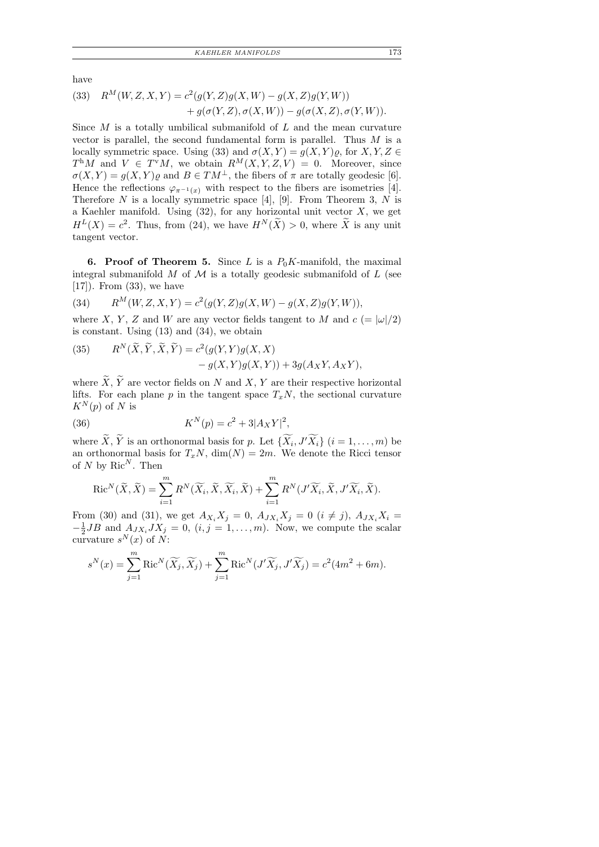have

(33) 
$$
R^M(W, Z, X, Y) = c^2(g(Y, Z)g(X, W) - g(X, Z)g(Y, W))
$$
  
  $+ g(\sigma(Y, Z), \sigma(X, W)) - g(\sigma(X, Z), \sigma(Y, W)).$ 

Since  $M$  is a totally umbilical submanifold of  $L$  and the mean curvature vector is parallel, the second fundamental form is parallel. Thus  $M$  is a locally symmetric space. Using (33) and  $\sigma(X, Y) = g(X, Y) \rho$ , for  $X, Y, Z \in$  $T^{\text{h}}M$  and  $V \in T^{\text{v}}M$ , we obtain  $R^M(X,Y,Z,V) = 0$ . Moreover, since  $\sigma(X, Y) = g(X, Y) \varrho$  and  $B \in TM^{\perp}$ , the fibers of  $\pi$  are totally geodesic [6]. Hence the reflections  $\varphi_{\pi^{-1}(x)}$  with respect to the fibers are isometries [4]. Therefore N is a locally symmetric space [4], [9]. From Theorem 3, N is a Kaehler manifold. Using  $(32)$ , for any horizontal unit vector X, we get  $H^L(X) = c^2$ . Thus, from (24), we have  $H^N(\widetilde{X}) > 0$ , where  $\widetilde{X}$  is any unit tangent vector.

6. Proof of Theorem 5. Since L is a  $P_0K$ -manifold, the maximal integral submanifold  $M$  of  $\mathcal M$  is a totally geodesic submanifold of  $L$  (see  $[17]$ ). From  $(33)$ , we have

(34) 
$$
R^M(W, Z, X, Y) = c^2(g(Y, Z)g(X, W) - g(X, Z)g(Y, W)),
$$

where X, Y, Z and W are any vector fields tangent to M and  $c = |\omega|/2$ is constant. Using (13) and (34), we obtain

(35) 
$$
R^{N}(\widetilde{X}, \widetilde{Y}, \widetilde{X}, \widetilde{Y}) = c^{2}(g(Y, Y)g(X, X) - g(X, Y)g(X, Y)) + 3g(A_{X}Y, A_{X}Y),
$$

where  $\widetilde{X}, \widetilde{Y}$  are vector fields on N and X, Y are their respective horizontal lifts. For each plane p in the tangent space  $T_xN$ , the sectional curvature  $K^N(p)$  of N is

(36) 
$$
K^{N}(p) = c^{2} + 3|A_{X}Y|^{2},
$$

where  $\widetilde{X}, \widetilde{Y}$  is an orthonormal basis for p. Let  $\{\widetilde{X}_i, J'\widetilde{X}_i\}$   $(i = 1, ..., m)$  be an orthonormal basis for  $T_xN$ ,  $\dim(N) = 2m$ . We denote the Ricci tensor of N by  $Ric^N$ . Then

$$
\operatorname{Ric}^N(\widetilde{X}, \widetilde{X}) = \sum_{i=1}^m R^N(\widetilde{X}_i, \widetilde{X}, \widetilde{X}_i, \widetilde{X}) + \sum_{i=1}^m R^N(J'\widetilde{X}_i, \widetilde{X}, J'\widetilde{X}_i, \widetilde{X}).
$$

From (30) and (31), we get  $A_{X_i} X_j = 0$ ,  $A_{JX_i} X_j = 0$  ( $i \neq j$ ),  $A_{JX_i} X_i =$  $-\frac{1}{2}$  $\frac{1}{2}JB$  and  $A_{JX_i}JX_j = 0$ ,  $(i, j = 1, ..., m)$ . Now, we compute the scalar curvature  $s^N(x)$  of  $N$ :

$$
s^N(x) = \sum_{j=1}^m \text{Ric}^N(\widetilde{X}_j, \widetilde{X}_j) + \sum_{j=1}^m \text{Ric}^N(J'\widetilde{X}_j, J'\widetilde{X}_j) = c^2(4m^2 + 6m).
$$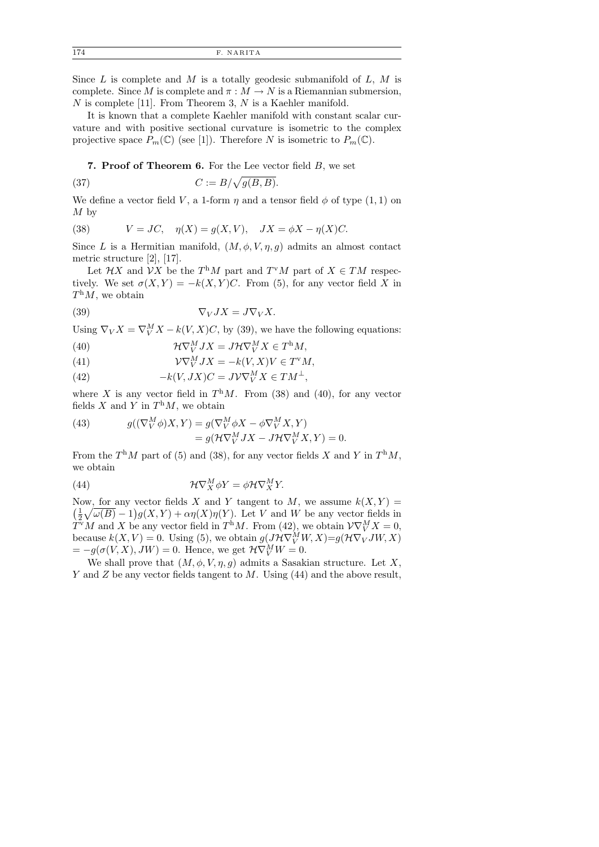174 F. NAR ITA

Since  $L$  is complete and  $M$  is a totally geodesic submanifold of  $L, M$  is complete. Since M is complete and  $\pi : M \to N$  is a Riemannian submersion,  $N$  is complete [11]. From Theorem 3,  $N$  is a Kaehler manifold.

It is known that a complete Kaehler manifold with constant scalar curvature and with positive sectional curvature is isometric to the complex projective space  $P_m(\mathbb{C})$  (see [1]). Therefore N is isometric to  $P_m(\mathbb{C})$ .

7. Proof of Theorem 6. For the Lee vector field  $B$ , we set

(37) 
$$
C := B/\sqrt{g(B,B)}.
$$

We define a vector field V, a 1-form  $\eta$  and a tensor field  $\phi$  of type (1, 1) on  $M<sub>by</sub>$ 

(38) 
$$
V = JC, \quad \eta(X) = g(X, V), \quad JX = \phi X - \eta(X)C.
$$

Since L is a Hermitian manifold,  $(M, \phi, V, \eta, g)$  admits an almost contact metric structure [2], [17].

Let  $\mathcal{H}X$  and  $\mathcal{V}X$  be the  $T^hM$  part and  $T^vM$  part of  $X \in TM$  respectively. We set  $\sigma(X, Y) = -k(X, Y)C$ . From (5), for any vector field X in  $T<sup>h</sup>M$ , we obtain

(39) 
$$
\nabla_V JX = J\nabla_V X.
$$

Using  $\nabla_V X = \nabla_V^M X - k(V, X)C$ , by (39), we have the following equations:

(40) 
$$
\mathcal{H}\nabla_V^M JX = J\mathcal{H}\nabla_V^M X \in T^{\text{h}}M,
$$

(41) 
$$
\mathcal{V}\nabla^M_V JX = -k(V,X)V \in T^vM,
$$

(42) 
$$
-k(V, JX)C = J\mathcal{V}\nabla_V^MX \in TM^{\perp},
$$

where X is any vector field in  $T^hM$ . From (38) and (40), for any vector fields X and Y in  $T<sup>h</sup>M$ , we obtain

(43) 
$$
g((\nabla_V^M \phi)X, Y) = g(\nabla_V^M \phi X - \phi \nabla_V^M X, Y) = g(\mathcal{H} \nabla_V^M JX - J\mathcal{H} \nabla_V^M X, Y) = 0.
$$

From the  $T^{\text{h}}M$  part of (5) and (38), for any vector fields X and Y in  $T^{\text{h}}M$ , we obtain

(44) 
$$
\mathcal{H}\nabla^M_X \phi Y = \phi \mathcal{H} \nabla^M_X Y.
$$

Now, for any vector fields X and Y tangent to M, we assume  $k(X, Y) =$  $\left(\frac{1}{2}\right)$  $\frac{1}{2}\sqrt{\omega(B)}-1\big)g(X,Y)+\alpha\eta(X)\eta(Y)$ . Let V and W be any vector fields in  $\widetilde{T}^{V}M$  and X be any vector field in  $T^{h}M$ . From (42), we obtain  $\mathcal{V}\nabla_{V}^{M}X=0$ , because  $k(X, V) = 0$ . Using (5), we obtain  $g(J\mathcal{H}\nabla_{V}^{M}W, X) = g(\mathcal{H}\nabla_{V}JW, X)$  $= -g(\sigma(V, X), JW) = 0.$  Hence, we get  $\mathcal{H}\nabla^M_V W = 0.$ 

We shall prove that  $(M, \phi, V, \eta, g)$  admits a Sasakian structure. Let X, Y and Z be any vector fields tangent to M. Using  $(44)$  and the above result,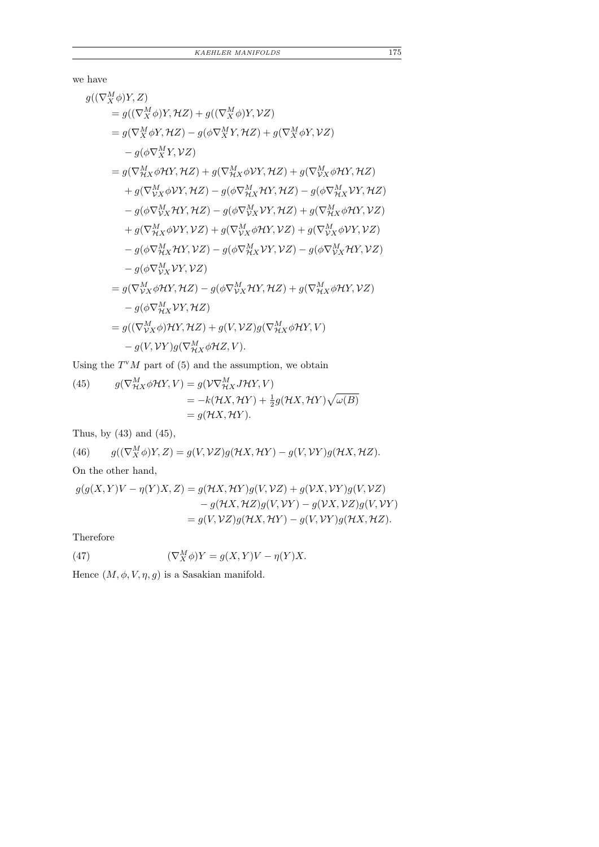we have

$$
g((\nabla_X^M \phi)Y, Z)
$$
  
\n
$$
= g((\nabla_X^M \phi)Y, \mathcal{H}Z) + g((\nabla_X^M \phi)Y, \mathcal{V}Z)
$$
  
\n
$$
= g(\nabla_X^M \phi Y, \mathcal{H}Z) - g(\phi \nabla_X^M Y, \mathcal{H}Z) + g(\nabla_X^M \phi Y, \mathcal{V}Z)
$$
  
\n
$$
- g(\phi \nabla_X^M Y, \mathcal{V}Z)
$$
  
\n
$$
= g(\nabla_{\mathcal{H}X}^M \phi \mathcal{H}Y, \mathcal{H}Z) + g(\nabla_{\mathcal{H}X}^M \phi \mathcal{V}Y, \mathcal{H}Z) + g(\nabla_{\mathcal{V}X}^M \phi \mathcal{H}Y, \mathcal{H}Z)
$$
  
\n
$$
+ g(\nabla_{\mathcal{V}X}^M \phi \mathcal{V}Y, \mathcal{H}Z) - g(\phi \nabla_{\mathcal{H}X}^M \mathcal{H}Y, \mathcal{H}Z) - g(\phi \nabla_{\mathcal{H}X}^M \mathcal{V}Y, \mathcal{H}Z)
$$
  
\n
$$
- g(\phi \nabla_{\mathcal{V}X}^M \mathcal{H}Y, \mathcal{H}Z) - g(\phi \nabla_{\mathcal{V}X}^M \mathcal{V}Y, \mathcal{H}Z) + g(\nabla_{\mathcal{V}X}^M \phi \mathcal{H}Y, \mathcal{V}Z)
$$
  
\n
$$
+ g(\nabla_{\mathcal{H}X}^M \phi \mathcal{V}Y, \mathcal{V}Z) + g(\nabla_{\mathcal{V}X}^M \phi \mathcal{H}Y, \mathcal{V}Z) + g(\nabla_{\mathcal{V}X}^M \phi \mathcal{V}Y, \mathcal{V}Z)
$$
  
\n
$$
- g(\phi \nabla_{\mathcal{V}X}^M \mathcal{H}Y, \mathcal{V}Z) - g(\phi \nabla_{\mathcal{H}X}^M \mathcal{V}Y, \mathcal{V}Z) - g(\phi \nabla_{\mathcal{V}X}^M \mathcal{H}Y, \mathcal{V}Z)
$$

Using the  $T^{v}M$  part of (5) and the assumption, we obtain

(45) 
$$
g(\nabla^M_{\mathcal{H}X} \phi \mathcal{H}Y, V) = g(\mathcal{V}\nabla^M_{\mathcal{H}X} J\mathcal{H}Y, V) = -k(\mathcal{H}X, \mathcal{H}Y) + \frac{1}{2}g(\mathcal{H}X, \mathcal{H}Y)\sqrt{\omega(B)} = g(\mathcal{H}X, \mathcal{H}Y).
$$

Thus, by (43) and (45),

(46) 
$$
g((\nabla_X^M \phi)Y, Z) = g(V, VZ)g(\mathcal{H}X, \mathcal{H}Y) - g(V, VY)g(\mathcal{H}X, \mathcal{H}Z).
$$

On the other hand,

$$
g(g(X, Y)V - \eta(Y)X, Z) = g(\mathcal{H}X, \mathcal{H}Y)g(V, \mathcal{V}Z) + g(\mathcal{V}X, \mathcal{V}Y)g(V, \mathcal{V}Z)
$$
  

$$
- g(\mathcal{H}X, \mathcal{H}Z)g(V, \mathcal{V}Y) - g(\mathcal{V}X, \mathcal{V}Z)g(V, \mathcal{V}Y)
$$
  

$$
= g(V, \mathcal{V}Z)g(\mathcal{H}X, \mathcal{H}Y) - g(V, \mathcal{V}Y)g(\mathcal{H}X, \mathcal{H}Z).
$$

Therefore

(47) 
$$
(\nabla_X^M \phi)Y = g(X, Y)V - \eta(Y)X.
$$

Hence  $(M, \phi, V, \eta, g)$  is a Sasakian manifold.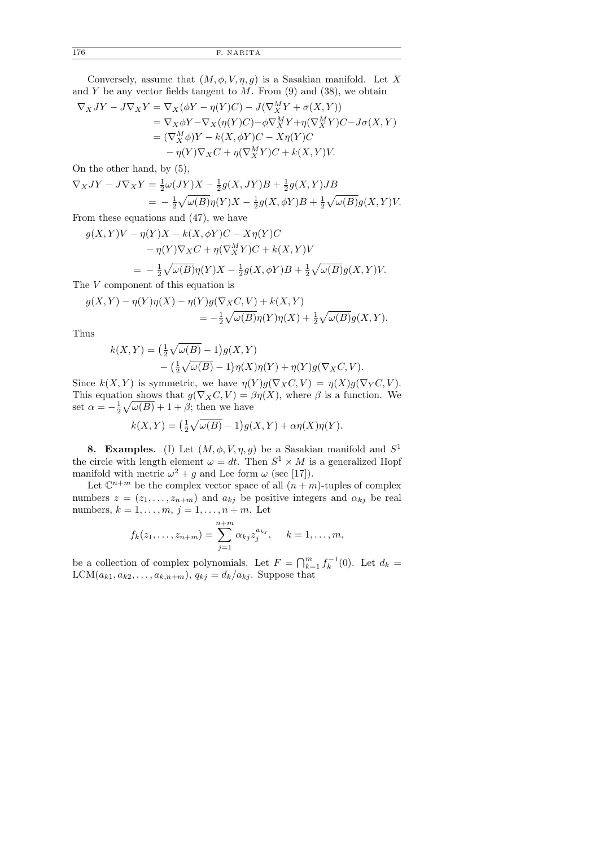176 F. NAR ITA

Conversely, assume that  $(M, \phi, V, \eta, g)$  is a Sasakian manifold. Let X and Y be any vector fields tangent to  $M$ . From  $(9)$  and  $(38)$ , we obtain

$$
\nabla_X JY - J\nabla_X Y = \nabla_X (\phi Y - \eta(Y)C) - J(\nabla_X^M Y + \sigma(X, Y))
$$
  
=  $\nabla_X \phi Y - \nabla_X (\eta(Y)C) - \phi \nabla_X^M Y + \eta(\nabla_X^M Y)C - J\sigma(X, Y)$   
=  $(\nabla_X^M \phi)Y - k(X, \phi Y)C - X\eta(Y)C$   
 $- \eta(Y)\nabla_X C + \eta(\nabla_X^M Y)C + k(X, Y)V.$ 

On the other hand, by (5),

$$
\nabla_X JY - J\nabla_X Y = \frac{1}{2}\omega(JY)X - \frac{1}{2}g(X,JY)B + \frac{1}{2}g(X,Y)JB
$$
  
= 
$$
-\frac{1}{2}\sqrt{\omega(B)}\eta(Y)X - \frac{1}{2}g(X,\phi Y)B + \frac{1}{2}\sqrt{\omega(B)}g(X,Y)V.
$$

From these equations and (47), we have

$$
g(X,Y)V - \eta(Y)X - k(X,\phi Y)C - X\eta(Y)C
$$
  
- 
$$
\eta(Y)\nabla_X C + \eta(\nabla_X^M Y)C + k(X,Y)V
$$
  
= 
$$
-\frac{1}{2}\sqrt{\omega(B)}\eta(Y)X - \frac{1}{2}g(X,\phi Y)B + \frac{1}{2}\sqrt{\omega(B)}g(X,Y)V.
$$

The V component of this equation is

$$
g(X,Y) - \eta(Y)\eta(X) - \eta(Y)g(\nabla_X C, V) + k(X,Y)
$$
  
=  $-\frac{1}{2}\sqrt{\omega(B)}\eta(Y)\eta(X) + \frac{1}{2}\sqrt{\omega(B)}g(X,Y).$ 

Thus

$$
k(X,Y) = \left(\frac{1}{2}\sqrt{\omega(B)} - 1\right)g(X,Y)
$$

$$
-\left(\frac{1}{2}\sqrt{\omega(B)} - 1\right)\eta(X)\eta(Y) + \eta(Y)g(\nabla_X C, V).
$$

Since  $k(X, Y)$  is symmetric, we have  $\eta(Y)q(\nabla_X C, V) = \eta(X)q(\nabla_Y C, V)$ . This equation shows that  $g(\nabla_X C, V) = \beta \eta(X)$ , where  $\beta$  is a function. We set  $\alpha = -\frac{1}{2}$  $\frac{1}{2}\sqrt{\omega(B)} + 1 + \beta$ ; then we have

$$
k(X,Y) = \left(\frac{1}{2}\sqrt{\omega(B)} - 1\right)g(X,Y) + \alpha \eta(X)\eta(Y).
$$

**8. Examples.** (I) Let  $(M, \phi, V, \eta, g)$  be a Sasakian manifold and  $S^1$ the circle with length element  $\omega = dt$ . Then  $S^1 \times M$  is a generalized Hopf manifold with metric  $\omega^2 + g$  and Lee form  $\omega$  (see [17]).

Let  $\mathbb{C}^{n+m}$  be the complex vector space of all  $(n+m)$ -tuples of complex numbers  $z = (z_1, \ldots, z_{n+m})$  and  $a_{kj}$  be positive integers and  $\alpha_{kj}$  be real numbers,  $k = 1, \ldots, m, j = 1, \ldots, n + m$ . Let

$$
f_k(z_1,..., z_{n+m}) = \sum_{j=1}^{n+m} \alpha_{kj} z_j^{a_{kj}}, \quad k = 1, ..., m,
$$

be a collection of complex polynomials. Let  $F = \bigcap_{k=1}^m f_k^{-1}(0)$ . Let  $d_k =$  $LCM(a_{k1}, a_{k2}, \ldots, a_{k,n+m}), q_{kj} = d_k/a_{kj}.$  Suppose that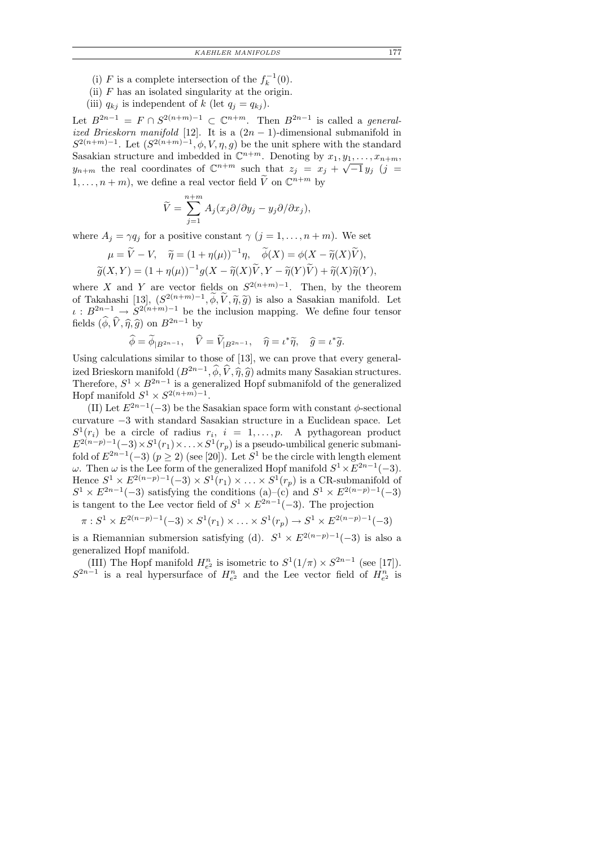- (i) F is a complete intersection of the  $f_k^{-1}(0)$ .
- (ii)  $F$  has an isolated singularity at the origin.
- (iii)  $q_{kj}$  is independent of k (let  $q_i = q_{kj}$ ).

Let  $B^{2n-1} = F \cap S^{2(n+m)-1} \subset \mathbb{C}^{n+m}$ . Then  $B^{2n-1}$  is called a *general*ized Brieskorn manifold [12]. It is a  $(2n - 1)$ -dimensional submanifold in  $S^{2(n+m)-1}$ . Let  $(S^{2(n+m)-1}, \phi, V, \eta, g)$  be the unit sphere with the standard Sasakian structure and imbedded in  $\mathbb{C}^{n+m}$ . Denoting by  $x_1, y_1, \ldots, x_{n+m}$ ,  $y_{n+m}$  the real coordinates of  $\mathbb{C}^{n+m}$  such that  $z_j = x_j + \sqrt{-1} y_j$  (j =  $1, \ldots, n+m$ , we define a real vector field  $\widetilde{V}$  on  $\mathbb{C}^{n+m}$  by

$$
\widetilde{V} = \sum_{j=1}^{n+m} A_j(x_j \partial/\partial y_j - y_j \partial/\partial x_j),
$$

where  $A_j = \gamma q_j$  for a positive constant  $\gamma$   $(j = 1, \ldots, n+m)$ . We set

$$
\mu = \widetilde{V} - V, \quad \widetilde{\eta} = (1 + \eta(\mu))^{-1} \eta, \quad \widetilde{\phi}(X) = \phi(X - \widetilde{\eta}(X)\widetilde{V}), \n\widetilde{g}(X, Y) = (1 + \eta(\mu))^{-1} g(X - \widetilde{\eta}(X)\widetilde{V}, Y - \widetilde{\eta}(Y)\widetilde{V}) + \widetilde{\eta}(X)\widetilde{\eta}(Y),
$$

where X and Y are vector fields on  $S^{2(n+m)-1}$ . Then, by the theorem of Takahashi [13],  $(S^{2(n+m)-1}, \phi, V, \tilde{\eta}, \tilde{g})$  is also a Sasakian manifold. Let  $\iota : B^{2n-1} \to S^{2(n+m)-1}$  be the inclusion mapping. We define four tensor fields  $(\widehat{\phi}, \widehat{V}, \widehat{\eta}, \widehat{g})$  on  $B^{2n-1}$  by

$$
\widehat{\phi} = \widetilde{\phi}_{|B^{2n-1}}, \quad \widehat{V} = \widetilde{V}_{|B^{2n-1}}, \quad \widehat{\eta} = \iota^* \widetilde{\eta}, \quad \widehat{g} = \iota^* \widetilde{g}.
$$

Using calculations similar to those of [13], we can prove that every generalized Brieskorn manifold  $(B^{2n-1},\widehat{\phi},\widehat{V},\widehat{\eta},\widehat{g})$  admits many Sasakian structures. ized Brieskorn manifold  $(B^{2n-1}, \phi, V, \hat{\eta}, \hat{g})$  admits many Sasakian structures.<br>Therefore,  $S^1 \times B^{2n-1}$  is a generalized Hopf submanifold of the generalized Hopf manifold  $S^1 \times S^{2(n+m)-1}$ .

(II) Let  $E^{2n-1}(-3)$  be the Sasakian space form with constant  $\phi$ -sectional curvature −3 with standard Sasakian structure in a Euclidean space. Let  $S^1(r_i)$  be a circle of radius  $r_i$ ,  $i = 1, \ldots, p$ . A pythagorean product  $E^{2(n-p)-1}(-3) \times S^1(r_1) \times \ldots \times S^1(r_p)$  is a pseudo-umbilical generic submanifold of  $E^{2n-1}(-3)$   $(p \ge 2)$  (see [20]). Let  $S^1$  be the circle with length element  $ω$ . Then ω is the Lee form of the generalized Hopf manifold  $S^1 \times E^{2n-1}(-3)$ . Hence  $S^1 \times E^{2(n-p)-1}(-3) \times S^1(r_1) \times \ldots \times S^1(r_p)$  is a CR-submanifold of  $S^1 \times E^{2n-1}(-3)$  satisfying the conditions (a)–(c) and  $S^1 \times E^{2(n-p)-1}(-3)$ is tangent to the Lee vector field of  $S^1 \times E^{2n-1}(-3)$ . The projection

$$
\pi: S^1 \times E^{2(n-p)-1}(-3) \times S^1(r_1) \times \ldots \times S^1(r_p) \to S^1 \times E^{2(n-p)-1}(-3)
$$

is a Riemannian submersion satisfying (d).  $S^1 \times E^{2(n-p)-1}(-3)$  is also a generalized Hopf manifold.

(III) The Hopf manifold  $H_{e^2}^n$  is isometric to  $S^1(1/\pi) \times S^{2n-1}$  (see [17]).  $S^{2n-1}$  is a real hypersurface of  $H_{e^2}^n$  and the Lee vector field of  $H_{e^2}^n$  is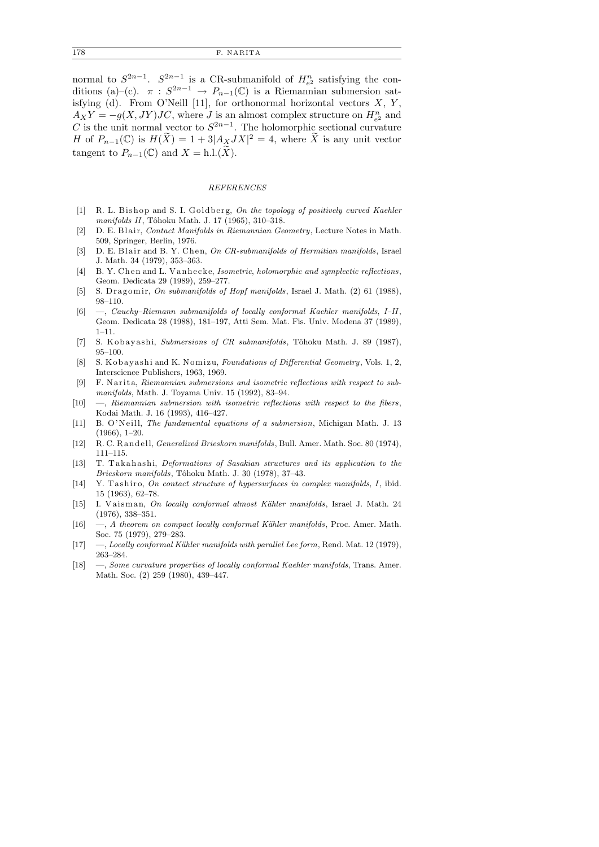normal to  $S^{2n-1}$ .  $S^{2n-1}$  is a CR-submanifold of  $H_{e^2}^n$  satisfying the conditions (a)–(c).  $\pi : S^{2n-1} \to P_{n-1}(\mathbb{C})$  is a Riemannian submersion satisfying (d). From O'Neill [11], for orthonormal horizontal vectors  $X, Y, Y$  $A_X Y = -g(X, JY)JC$ , where J is an almost complex structure on  $H_{e^2}^n$  and C is the unit normal vector to  $S^{2n-1}$ . The holomorphic sectional curvature H of  $P_{n-1}(\mathbb{C})$  is  $H(\widetilde{X}) = 1 + 3|A_XJX|^2 = 4$ , where  $\widetilde{X}$  is any unit vector tangent to  $P_{n-1}(\mathbb{C})$  and  $X = \text{h.l.}(\widetilde{X})$ .

#### *REFERENCES*

- [1] R. L. Bishop and S. I. Goldberg, *On the topology of positively curved Kaehler manifolds II*, Tôhoku Math. J. 17 (1965), 310-318.
- D. E. Blair, *Contact Manifolds in Riemannian Geometry*, Lecture Notes in Math. 509, Springer, Berlin, 1976.
- [3] D. E. Blair and B. Y. Chen, *On CR-submanifolds of Hermitian manifolds*, Israel J. Math. 34 (1979), 353–363.
- [4] B. Y. Chen and L. Van hecke, *Isometric*, *holomorphic and symplectic reflections*, Geom. Dedicata 29 (1989), 259–277.
- [5] S. Dragomir, *On submanifolds of Hopf manifolds*, Israel J. Math. (2) 61 (1988), 98–110.
- [6] —, *Cauchy–Riemann submanifolds of locally conformal Kaehler manifolds*, *I–II*, Geom. Dedicata 28 (1988), 181–197, Atti Sem. Mat. Fis. Univ. Modena 37 (1989), 1–11.
- [7] S. Kobayashi, *Submersions of CR submanifolds*, Tôhoku Math. J. 89 (1987), 95–100.
- [8] S. K o b a y as hi and K. Nomizu, *Foundations of Differential Geometry*, Vols. 1, 2, Interscience Publishers, 1963, 1969.
- [9] F. Narita, *Riemannian submersions and isometric reflections with respect to submanifolds*, Math. J. Toyama Univ. 15 (1992), 83–94.
- [10] —, *Riemannian submersion with isometric reflections with respect to the fibers*, Kodai Math. J. 16 (1993), 416–427.
- [11] B. O'N eill, *The fundamental equations of a submersion*, Michigan Math. J. 13 (1966), 1–20.
- [12] R. C. R and ell, *Generalized Brieskorn manifolds*, Bull. Amer. Math. Soc. 80 (1974), 111–115.
- [13] T. Takahashi, *Deformations of Sasakian structures and its application to the Brieskorn manifolds*, Tˆohoku Math. J. 30 (1978), 37–43.
- [14] Y. Tashiro, *On contact structure of hypersurfaces in complex manifolds*, *I*, ibid. 15 (1963), 62–78.
- [15] I. Vaisman, *On locally conformal almost Kähler manifolds*, Israel J. Math. 24 (1976), 338–351.
- [16] —, *A theorem on compact locally conformal Kähler manifolds*, Proc. Amer. Math. Soc. 75 (1979), 279–283.
- [17] —, *Locally conformal K¨ahler manifolds with parallel Lee form*, Rend. Mat. 12 (1979), 263–284.
- [18] —, *Some curvature properties of locally conformal Kaehler manifolds*, Trans. Amer. Math. Soc. (2) 259 (1980), 439–447.